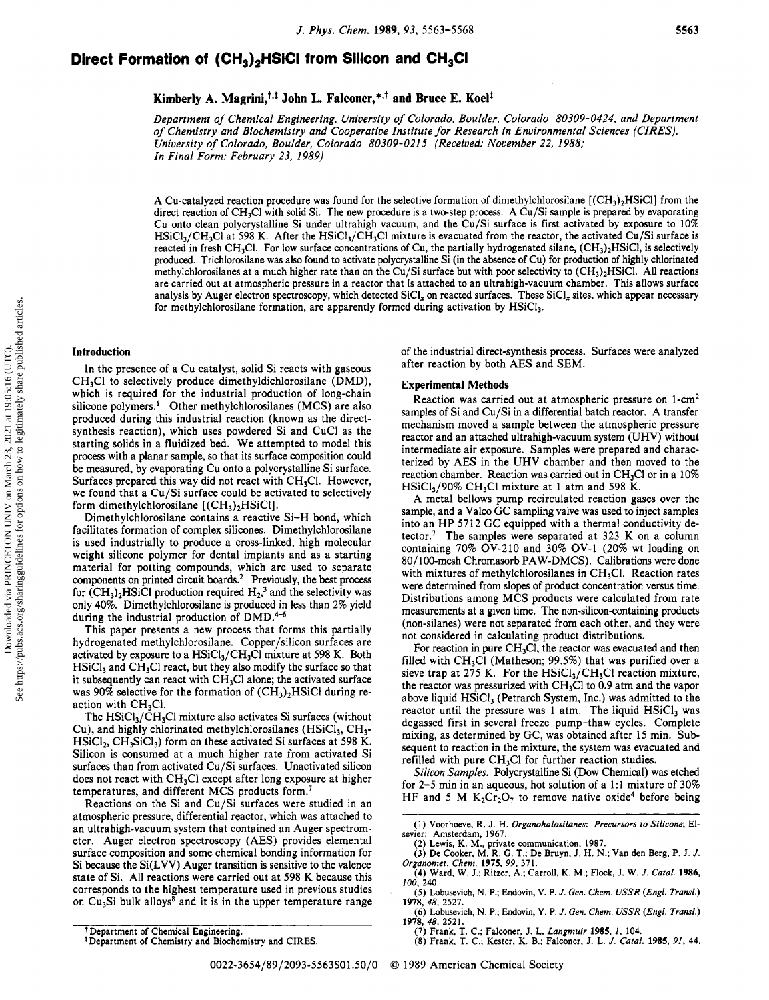## 5563

# Direct Formation of  $(\text{CH}_3)_2$ HSICI from Silicon and CH<sub>3</sub>CI

Kimberly A. Magrini, $^{\intercal,\intercal}$  John L. Falconer, $^{\ast,\intercal}$  and Bruce E. Koel<sup>1</sup>

Department of Chemical Engineering, University of Colorado, Boulder, Colorado 80309-0424, and Department of Chemistry and Biochemistry and Cooperative Institute for Research in Environmental Sciences (CIRES), University of Colorado, Boulder, Colorado 80309-0215 (Received: November 22, 1988; In Final Form: February 23, 1989)

A Cu-catalyzed reaction procedure was found for the selective formation of dimethylchlorosilane  $[(CH<sub>3</sub>)<sub>2</sub>HSiCl]$  from the direct reaction of CH<sub>3</sub>Cl with solid Si. The new procedure is a two-step process. A Cu/Si sample is prepared by evaporating Cu onto clean polycrystalline Si under ultrahigh vacuum, and the Cu/Si surface is first activated by exposure to 10%  $HSiCl<sub>3</sub>/CH<sub>3</sub>Cl$  at 598 K. After the  $HSiCl<sub>3</sub>/CH<sub>3</sub>Cl$  mixture is evacuated from the reactor, the activated Cu/Si surface is reacted in fresh CH<sub>3</sub>Cl. For low surface concentrations of Cu, the partially hydrogenated silane,  $(CH_3)_2HSiCl$ , is selectively produced. Trichlorosilane was also found to activate polycrystalline Si (in the absence of Cu) for production of highly chlorinated methylchlorosilanes at a much higher rate than on the Cu/Si surface but with poor selectivity to  $(CH_3)_2H$ SiCl. All reactions are carried out at atmospheric pressure in <sup>a</sup> reactor that is attached to an ultrahigh-vacuum chamber. This allows surface analysis by Auger electron spectroscopy, which detected  $SiCl<sub>x</sub>$  on reacted surfaces. These  $SiCl<sub>x</sub>$  sites, which appear necessary for methylchlorosilane formation, are apparently formed during activation by HSiCl3.

#### Introduction

In the presence of <sup>a</sup> Cu catalyst, solid Si reacts with gaseous CH3C1 to selectively produce dimethyldichlorosilane (DMD), which is required for the industrial production of long-chain silicone polymers.<sup>1</sup> Other methylchlorosilanes (MCS) are also produced during this industrial reaction (known as the directsynthesis reaction), which uses powdered Si and CuCl as the starting solids in <sup>a</sup> fluidized bed. We attempted to model this process with <sup>a</sup> planar sample, so that its surface composition could be measured, by evaporating Cu onto <sup>a</sup> polycrystalline Si surface. Surfaces prepared this way did not react with  $CH<sub>3</sub>Cl$ . However, we found that <sup>a</sup> Cu/Si surface could be activated to selectively form dimethylchlorosilane  $[(CH<sub>3</sub>)<sub>2</sub>HSiCl]$ .

Dimethylchlorosilane contains <sup>a</sup> reactive Si-H bond, which facilitates formation of complex silicones. Dimethylchlorosilane is used industrially to produce <sup>a</sup> cross-linked, high molecular weight silicone polymer for dental implants and as <sup>a</sup> starting material for potting compounds, which are used to separate components on printed circuit boards.<sup>2</sup> Previously, the best process for  $(CH_3)_2HSiCl$  production required  $H_2$ <sup>3</sup> and the selectivity was only 40%. Dimethylchlorosilane is produced in less than 2% yield during the industrial production of DMD.<sup>4-6</sup>

This paper presents <sup>a</sup> new process that forms this partially hydrogenated methylchlorosilane. Copper/silicon surfaces are activated by exposure to a  $HSiCl_3/CH_3Cl$  mixture at 598 K. Both  $HSiCl<sub>3</sub>$  and CH<sub>3</sub>Cl react, but they also modify the surface so that it subsequently can react with  $CH<sub>3</sub>Cl$  alone; the activated surface was 90% selective for the formation of  $(CH_3)_2HSiCl$  during reaction with  $CH<sub>3</sub>Cl<sub>1</sub>$ .

The  $HSiCl<sub>3</sub>/CH<sub>3</sub>Cl$  mixture also activates Si surfaces (without Cu), and highly chlorinated methylchlorosilanes  $(HSiCl<sub>3</sub>, CH<sub>3</sub>$  $HSiCl_2$ ,  $CH_3SiCl_3$ ) form on these activated Si surfaces at 598 K. Silicon is consumed at <sup>a</sup> much higher rate from activated Si surfaces than from activated Cu/Si surfaces. Unactivated silicon does not react with  $CH<sub>3</sub>Cl$  except after long exposure at higher temperatures, and different MCS products form.7

Reactions on the Si and Cu/Si surfaces were studied in an atmospheric pressure, differential reactor, which was attached to an ultrahigh-vacuum system that contained an Auger spectrometer. Auger electron spectroscopy (AES) provides elemental surface composition and some chemical bonding information for Si because the Si(LVV) Auger transition is sensitive to the valence state of Si. All reactions were carried out at 598 K because this corresponds to the highest temperature used in previous studies on  $Cu<sub>3</sub>Si$  bulk alloys<sup>8</sup> and it is in the upper temperature range

of the industrial direct-synthesis process. Surfaces were analyzed after reaction by both AES and SEM.

#### Experimental Methods

Reaction was carried out at atmospheric pressure on 1-cm2 samples of Si and Cu/Si in <sup>a</sup> differential batch reactor. A transfer mechanism moved <sup>a</sup> sample between the atmospheric pressure reactor and an attached ultrahigh-vacuum system (UHV) without intermediate air exposure. Samples were prepared and characterized by AES in the UHV chamber and then moved to the reaction chamber. Reaction was carried out in CH<sub>3</sub>Cl or in a 10%  $HSiCl<sub>3</sub>/90\% CH<sub>3</sub>Cl$  mixture at 1 atm and 598 K.

A metal bellows pump recirculated reaction gases over the sample, and <sup>a</sup> Valeo GC sampling valve was used to inject samples into an HP 5712 GC equipped with <sup>a</sup> thermal conductivity detector.<sup>7</sup> The samples were separated at 323 K on a column containing 70% OV-210 and 30% OV-1 (20% wt loading on 80/100-mesh Chromasorb PAW-DMCS). Calibrations were done with mixtures of methylchlorosilanes in  $CH<sub>3</sub>Cl$ . Reaction rates were determined from slopes of product concentration versus time. Distributions among MCS products were calculated from rate measurements at <sup>a</sup> given time. The non-silicon-containing products (non-silanes) were not separated from each other, and they were not considered in calculating product distributions.

For reaction in pure  $CH<sub>3</sub>Cl$ , the reactor was evacuated and then filled with  $CH<sub>3</sub>Cl$  (Matheson; 99.5%) that was purified over a sieve trap at 275 K. For the  $HSiCl_3/CH_3Cl$  reaction mixture, the reactor was pressurized with  $CH<sub>3</sub>Cl$  to 0.9 atm and the vapor above liquid  $HSiCl_3$  (Petrarch System, Inc.) was admitted to the reactor until the pressure was 1 atm. The liquid  $HSiCl<sub>3</sub>$  was degassed first in several freeze-pump-thaw cycles. Complete mixing, as determined by GC, was obtained after <sup>15</sup> min. Subsequent to reaction in the mixture, the system was evacuated and refilled with pure  $CH<sub>3</sub>Cl$  for further reaction studies.

Silicon Samples. Polycrystalline Si (Dow Chemical) was etched for 2-5 min in an aqueous, hot solution of <sup>a</sup> 1:1 mixture of 30% HF and 5 M  $K_2Cr_2O_7$  to remove native oxide<sup>4</sup> before being

- (2) Lewis, K. M., private communication, 1987.<br>(3) De Cooker, M. R. G. T.; De Bruyn, J. H. N.; Van den Berg, P. J. J. Organomet. Chem. 1975, 99, 371. (4) Ward, W. J.; Ritzer, A.; Carroll, K. M.; Flock, J. W. J. Catal. 1986,
- 100, 240. (5) Lobusevich, N. P.; Endovin, V. P. J. Gen. Chem. USSR {Engl. Transí.)
- 1978, 48, 2527. (6) Lobusevich, N. P.; Endovin, Y. P. J. Gen. Chem. USSR {Engl. Transí.) 1978, 48, 2521.
	-
- (7) Frank, T. C.; Falconer, J. L. *Langmuir* 1985, *1*, 104.<br>(8) Frank, T. C.; Kester, K. B.; Falconer, J. L. *J. Catal.* 1985, 91, 44.

<sup>(1)</sup> Voorhoeve, R. J. H. Organohalosilanes: Precursors to Silicone; Elsevier: Amsterdam, 1967.

Department of Chemical Engineering.

<sup>\*</sup> Department of Chemistry and Biochemistry and CIRES.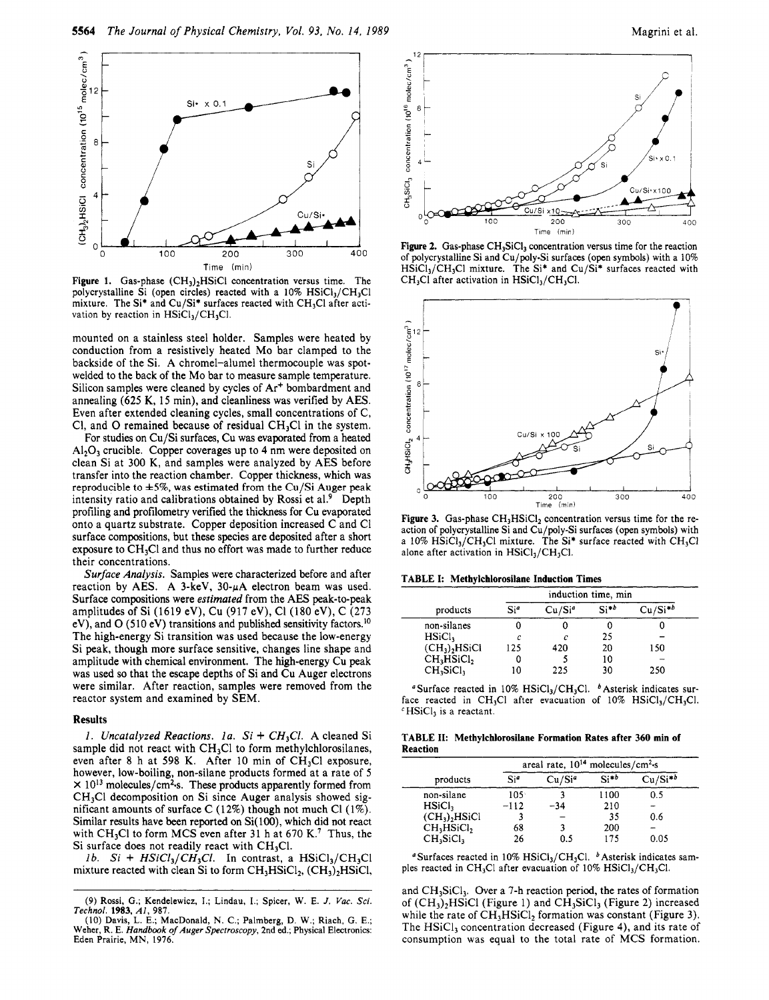



Figure 1. Gas-phase  $(CH_3)_2HSiCl$  concentration versus time. The polycrystalline Si (open circles) reacted with a  $10\% \text{ HSiCl}_3/\text{CH}_3\text{Cl}$ mixture. The Si<sup>\*</sup> and Cu/Si<sup>\*</sup> surfaces reacted with CH<sub>3</sub>Cl after activation by reaction in  $HSiCl<sub>3</sub>/CH<sub>3</sub>Cl.$ 

mounted on <sup>a</sup> stainless steel holder. Samples were heated by conduction from <sup>a</sup> resistively heated Mo bar clamped to the backside of the Si. A chromel-alumel thermocouple was spotwelded to the back of the Mo bar to measure sample temperature. Silicon samples were cleaned by cycles of  $Ar<sup>+</sup>$  bombardment and annealing (625 K, <sup>15</sup> min), and cleanliness was verified by AES. Even after extended cleaning cycles, small concentrations of C, Cl, and O remained because of residual  $CH<sub>3</sub>Cl$  in the system.

For studies on Cu/Si surfaces, Cu was evaporated from <sup>a</sup> heated  $\text{Al}_2\text{O}_3$  crucible. Copper coverages up to 4 nm were deposited on clean Si at 300 K, and samples were analyzed by AES before transfer into the reaction chamber. Copper thickness, which was reproducible to  $\pm 5\%$ , was estimated from the Cu/Si Auger peak intensity ratio and calibrations obtained by Rossi et al.<sup>9</sup> Depth profiling and profilometry verified the thickness for Cu evaporated onto <sup>a</sup> quartz substrate. Copper deposition increased C and Cl surface compositions, but these species are deposited after <sup>a</sup> short exposure to  $CH<sub>3</sub>Cl$  and thus no effort was made to further reduce their concentrations.

Surface Analysis. Samples were characterized before and after reaction by AES. A 3-keV,  $30-\mu A$  electron beam was used. Surface compositions were estimated from the AES peak-to-peak amplitudes of Si (1619 eV), Cu (917 eV), Cl (180 eV), C (273 eV), and O (510 eV) transitions and published sensitivity factors.<sup>10</sup> The high-energy Si transition was used because the low-energy Si peak, though more surface sensitive, changes line shape and amplitude with chemical environment. The high-energy Cu peak was used so that the escape depths of Si and Cu Auger electrons were similar. After reaction, samples were removed from the reactor system and examined by SEM.

## Results

1. Uncatalyzed Reactions. 1a.  $Si + CH<sub>3</sub>Cl$ . A cleaned Si sample did not react with  $CH<sub>3</sub>Cl$  to form methylchlorosilanes, even after 8 h at 598 K. After 10 min of CH<sub>3</sub>Cl exposure, however, low-boiling, non-silane products formed at <sup>a</sup> rate of <sup>5</sup>  $\times$  10<sup>13</sup> molecules/cm<sup>2</sup>·s. These products apparently formed from  $CH<sub>3</sub>Cl$  decomposition on Si since Auger analysis showed significant amounts of surface C (12%) though not much Cl (1%). Similar results have been reported on Si(100), which did not react with CH<sub>3</sub>Cl to form MCS even after 31 h at 670 K.<sup>7</sup> Thus, the Si surface does not readily react with  $CH<sub>3</sub>Cl$ .

1b. Si +  $HSiCl_3/CH_3Cl$ . In contrast, a  $HSiCl_3/CH_3Cl$ mixture reacted with clean Si to form  $CH<sub>3</sub>HSiCl<sub>2</sub>$ , (CH<sub>3</sub>)<sub>2</sub>HSiCl,



Figure 2. Gas-phase  $CH_3SiCl_3$  concentration versus time for the reaction of polycrystalline Si and Cu/poly-Si surfaces (open symbols) with <sup>a</sup> 10%  $HSiCl<sub>3</sub>/CH<sub>3</sub>Cl$  mixture. The Si\* and Cu/Si\* surfaces reacted with  $CH<sub>3</sub>Cl$  after activation in  $HSiCl<sub>3</sub>/CH<sub>3</sub>Cl$ .



Figure 3. Gas-phase  $CH<sub>3</sub>HSiCl<sub>2</sub>$  concentration versus time for the reaction of polycrystalline Si and Cu/poly-Si surfaces (open symbols) with a 10%  $\overline{\text{HSiCl}_3/\text{CH}_3\text{Cl}}$  mixture. The Si\* surface reacted with CH<sub>3</sub>Cl alone after activation in  $HSiCl<sub>3</sub>/CH<sub>3</sub>Cl$ .

#### TABLE I: Methylchlorosilane Induction Times

|                                    | induction time, min |                    |           |              |  |  |
|------------------------------------|---------------------|--------------------|-----------|--------------|--|--|
| products                           | Si <sup>a</sup>     | Cu/Si <sup>a</sup> | $Si^{*b}$ | $Cu/Si^{*b}$ |  |  |
| non-silanes                        |                     |                    |           |              |  |  |
| HSiCl <sub>3</sub>                 | c                   | c                  | 25        |              |  |  |
| $(CH_3)$ , HSiCl                   | 125                 | 420                | 20        | 150          |  |  |
| CH <sub>3</sub> HSiCl <sub>2</sub> | U                   |                    | 10        |              |  |  |
| CH <sub>3</sub> SiCl <sub>3</sub>  | 10                  | 225                | 30        | 250          |  |  |

<sup>a</sup> Surface reacted in 10% HSiCl<sub>3</sub>/CH<sub>3</sub>Cl. <sup>b</sup> Asterisk indicates surface reacted in CH<sub>3</sub>Cl after evacuation of  $10\%$  HSiCl<sub>3</sub>/CH<sub>3</sub>Cl.  $\text{c}$  HSiCl<sub>3</sub> is a reactant

TABLE II: Methylchlorosilane Formation Rates after 360 min of Reaction

| products                           | areal rate, $10^{14}$ molecules/cm <sup>2</sup> ·s |                    |           |              |  |  |
|------------------------------------|----------------------------------------------------|--------------------|-----------|--------------|--|--|
|                                    | Si <sup>e</sup>                                    | Cu/Si <sup>a</sup> | $Si^{*b}$ | $Cu/Si^{*b}$ |  |  |
| non-silane                         | $105^{\circ}$                                      |                    | 1100      | 0.5          |  |  |
| HSiCl <sub>1</sub>                 | $-112$                                             | $-34$              | 210       |              |  |  |
| (CH <sub>3</sub> ), HSiCl          |                                                    |                    | 35        | 0.6          |  |  |
| CH <sub>3</sub> HSiCl <sub>2</sub> | 68                                                 |                    | 200       |              |  |  |
| $CH3S1Cl3$                         | 26                                                 | 0.5                | 175       | 0.05         |  |  |

<sup>a</sup> Surfaces reacted in 10% HSiCl<sub>3</sub>/CH<sub>3</sub>Cl. <sup>b</sup> Asterisk indicates samples reacted in CH<sub>3</sub>Cl after evacuation of 10%  $HSiCl<sub>3</sub>/CH<sub>3</sub>Cl$ .

and CH<sub>3</sub>SiCl<sub>3</sub>. Over a 7-h reaction period, the rates of formation of  $(CH_3)_2$ HSiCl (Figure 1) and CH<sub>3</sub>SiCl<sub>3</sub> (Figure 2) increased while the rate of  $CH<sub>3</sub>HSiCl<sub>2</sub>$  formation was constant (Figure 3). The  $HSiCl<sub>3</sub>$  concentration decreased (Figure 4), and its rate of consumption was equal to the total rate of MCS formation.

<sup>(9)</sup> Rossi, G.; Kendelewicz, I.; Lindau, I.; Spicer, W. E. J. Vac. Sci. Technol. 1983, Al, 987.

<sup>(10)</sup> Davis, L. E.; MacDonald, N. C.; Palmberg, D. W.; Riach, G. E.; Weher, R. E. Handbook of Auger Spectroscopy, 2nd ed.; Physical Electronics: Eden Prairie, MN, 1976.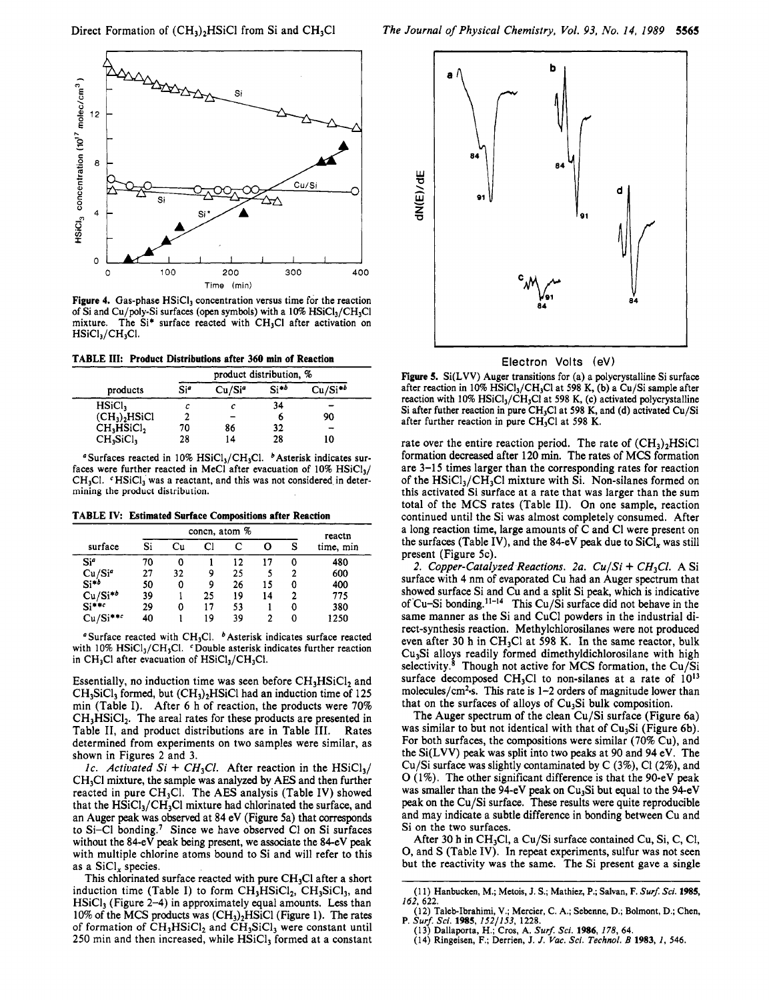

Figure 4. Gas-phase  $HSiCl<sub>3</sub>$  concentration versus time for the reaction of Si and Cu/poly-Si surfaces (open symbols) with a  $10\%$  HSiCl<sub>3</sub>/CH<sub>3</sub>Cl mixture. The  $Si^*$  surface reacted with CH<sub>3</sub>Cl after activation on  $HSiCl<sub>3</sub>/CH<sub>3</sub>Cl.$ 

TABLE III: Product Distributions after 360 min of Reaction

|                                    | product distribution, % |                    |           |              |  |  |
|------------------------------------|-------------------------|--------------------|-----------|--------------|--|--|
| products                           | Sie                     | Cu/Si <sup>a</sup> | $Si^{*b}$ | $Cu/Si^{*b}$ |  |  |
| HSiCl <sub>3</sub>                 |                         |                    | 34        |              |  |  |
| $(CH_3)_2HS_1Cl$                   | 2                       |                    | Ò         | 90           |  |  |
| CH <sub>3</sub> HSiCl <sub>2</sub> | 70                      | 86                 | 32        |              |  |  |
| CH <sub>3</sub> SiCl <sub>3</sub>  | 28                      | 14                 | 28        | 10           |  |  |

<sup>a</sup>Surfaces reacted in 10% HSiCl<sub>3</sub>/CH<sub>3</sub>Cl.  $^b$ Asterisk indicates surfaces were further reacted in MeCl after evacuation of  $10\%$  HSiCl<sub>3</sub>/ CH<sub>3</sub>Cl.  $c$  HSiCl<sub>3</sub> was a reactant, and this was not considered in determining the product distribution.

TABLE IV: Estimated Surface Compositions after Reaction

|                       |    | concn, atom % | reactn |    |    |   |           |
|-----------------------|----|---------------|--------|----|----|---|-----------|
| surface               | Si | Cu            | Сl     |    | О  | S | time, min |
| Si <sup>a</sup>       | 70 | 0             |        | 12 | 17 | 0 | 480       |
| $Cu/Si^a$<br>Si*b     | 27 | 32            | 9      | 25 |    | 2 | 600       |
|                       | 50 | 0             | 9      | 26 | 15 | 0 | 400       |
| $Cu/Si^{*b}$<br>Si**c | 39 |               | 25     | 19 | 14 | 2 | 775       |
|                       | 29 | 0             | 17     | 53 |    | 0 | 380       |
| $Cu/Si***$            | 40 |               | 19     | 39 | 2  | 0 | 1250      |

<sup>a</sup> Surface reacted with CH<sub>3</sub>Cl.  $\ ^{b}$  Asterisk indicates surface reacted with  $10\%$  HSiCl<sub>3</sub>/CH<sub>3</sub>Cl.  $\cdot$ Double asterisk indicates further reaction in  $CH<sub>3</sub>Cl$  after evacuation of  $HSiCl<sub>3</sub>/CH<sub>3</sub>Cl$ .

Essentially, no induction time was seen before  $CH<sub>3</sub>HSiCl<sub>2</sub>$  and  $CH<sub>3</sub>SiCl<sub>3</sub>$  formed, but  $(CH<sub>3</sub>)<sub>2</sub>HSiCl$  had an induction time of 125 min (Table I). After <sup>6</sup> <sup>h</sup> of reaction, the products were 70%  $CH<sub>3</sub>HSiCl<sub>2</sub>$ . The areal rates for these products are presented in Table II, and product distributions are in Table III. Rates determined from experiments on two samples were similar, as shown in Figures <sup>2</sup> and 3.

1c. Activated Si + CH<sub>3</sub>Cl. After reaction in the HSiCl<sub>3</sub>/  $CH<sub>3</sub>Cl$  mixture, the sample was analyzed by AES and then further reacted in pure  $CH<sub>3</sub>Cl$ . The AES analysis (Table IV) showed that the  $HSiCl_3/CH_3Cl$  mixture had chlorinated the surface, and an Auger peak was observed at 84 eV (Figure 5a) that corresponds to Si-Cl bonding.7 Since we have observed Cl on Si surfaces without the 84-eV peak being present, we associate the 84-eV peak with multiple chlorine atoms bound to Si and will refer to this as a  $SiCl<sub>x</sub>$  species.

This chlorinated surface reacted with pure  $CH<sub>3</sub>Cl$  after a short induction time (Table I) to form  $CH<sub>3</sub>HSiCl<sub>2</sub>$ ,  $CH<sub>3</sub>SiCl<sub>3</sub>$ , and  $HSiCl<sub>3</sub>$  (Figure 2-4) in approximately equal amounts. Less than 10% of the MCS products was  $(CH<sub>3</sub>)<sub>2</sub>HSiCl$  (Figure 1). The rates of formation of  $CH<sub>3</sub>HSiCl<sub>2</sub>$  and  $CH<sub>3</sub>SiCl<sub>3</sub>$  were constant until 250 min and then increased, while  $HSiCl<sub>3</sub>$  formed at a constant



Electron Volts (eV)

Figure 5. Si(LVV) Auger transitions for (a) <sup>a</sup> polycrystalline Si surface after reaction in 10% HSiCl<sub>3</sub>/CH<sub>3</sub>Cl at 598 K, (b) a Cu/Si sample after reaction with  $10\%$  HSiCl<sub>3</sub>/CH<sub>3</sub>Cl at 598 K, (c) activated polycrystalline Si after futher reaction in pure CH<sub>3</sub>Cl at 598 K, and (d) activated Cu/Si after further reaction in pure  $CH<sub>3</sub>Cl$  at 598 K.

rate over the entire reaction period. The rate of  $(CH_3)_2HSiCl$ formation decreased after 120 min. The rates of MCS formation are 3-15 times larger than the corresponding rates for reaction of the  $HSiCl_3/CH_3Cl$  mixture with Si. Non-silanes formed on this activated Si surface at <sup>a</sup> rate that was larger than the sum total of the MCS rates (Table II). On one sample, reaction continued until the Si was almost completely consumed. After <sup>a</sup> long reaction time, large amounts of C and Cl were present on the surfaces (Table IV), and the 84-eV peak due to  $SiCl<sub>x</sub>$  was still present (Figure 5c).

2. Copper-Catalyzed Reactions. 2a.  $Cu/Si + CH<sub>3</sub>Cl$ . A Si surface with <sup>4</sup> nm of evaporated Cu had an Auger spectrum that showed surface Si and Cu and <sup>a</sup> split Si peak, which is indicative of Cu-Si bonding.<sup>11-14</sup> This Cu/Si surface did not behave in the same manner as the Si and CuCl powders in the industrial direct-synthesis reaction. Methylchlorosilanes were not produced even after 30 h in CH<sub>3</sub>Cl at 598 K. In the same reactor, bulk  $Cu<sub>3</sub>Si$  alloys readily formed dimethyldichlorosilane with high selectivity. $8$  Though not active for MCS formation, the Cu/Si surface decomposed CH<sub>3</sub>Cl to non-silanes at a rate of  $10^{13}$ molecules/cm<sup>2</sup>-s. This rate is  $1-2$  orders of magnitude lower than that on the surfaces of alloys of  $Cu<sub>3</sub>Si$  bulk composition.

The Auger spectrum of the clean Cu/Si surface (Figure 6a) was similar to but not identical with that of  $Cu<sub>3</sub>Si$  (Figure 6b). For both surfaces, the compositions were similar (70% Cu), and the Si(LVV) peak was split into two peaks at 90 and 94 eV. The Cu/Si surface was slightly contaminated by C (3%), Cl (2%), and  $O(1\%)$ . The other significant difference is that the 90-eV peak was smaller than the 94-eV peak on  $Cu<sub>3</sub>Si$  but equal to the 94-eV peak on the Cu/Si surface. These results were quite reproducible and may indicate <sup>a</sup> subtle difference in bonding between Cu and Si on the two surfaces.

After 30 h in CH<sub>3</sub>Cl, a Cu/Si surface contained Cu, Si, C, Cl, O, and <sup>S</sup> (Table IV). In repeat experiments, sulfur was not seen but the reactivity was the same. The Si present gave <sup>a</sup> single

(14) Ringeisen, F.; Derrien, J. J. Vac. Sci. Technol. B 1983, 1, 546.

<sup>(11)</sup> Hanbucken, M.; Metois, J. S.; Mathiez, P.; Salvan, F. Surf. Sci. 1985, 162, 622.

<sup>(12)</sup> Taleb-Ibrahimi, V.; Mercier, C. A.; Sebenne, D.; Bolmont, D.; Chen,<br>P. Surf. Sci. 1985, 152/153, 1228.<br>(13) Dallaporta, H.; Cros, A. Surf. Sci. 1986, 178, 64.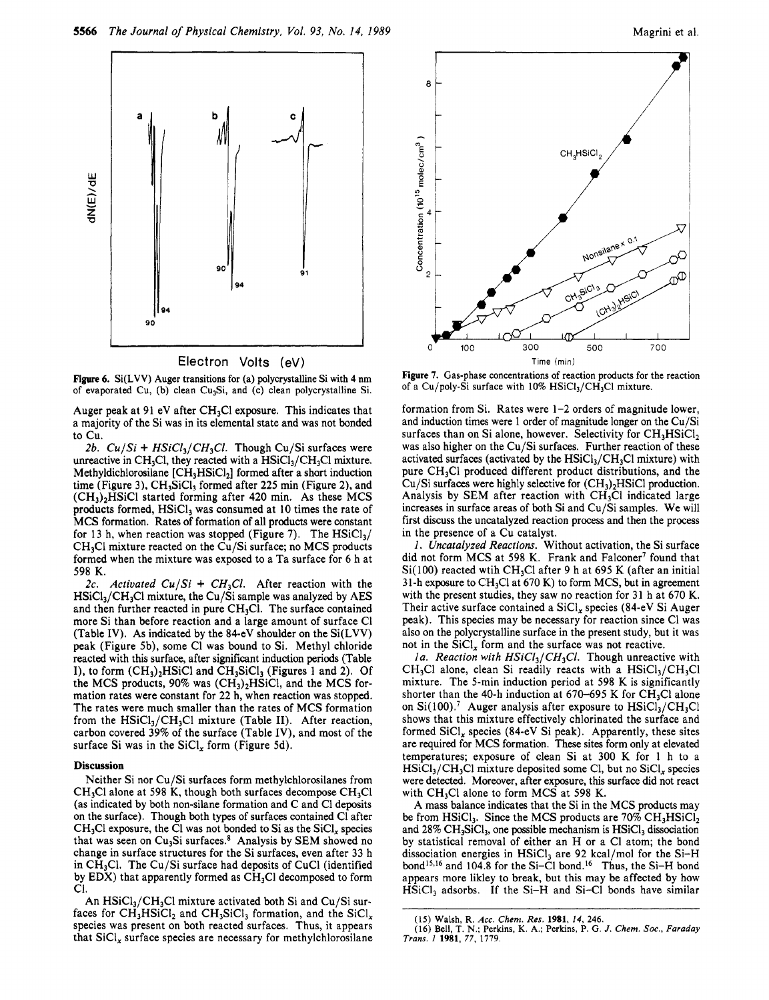



Figure 6. Si(LVV) Auger transitions for (a) polycrystalline Si with <sup>4</sup> nm of evaporated Cu, (b) clean Cu<sub>3</sub>Si, and (c) clean polycrystalline Si.

Auger peak at 91 eV after  $CH<sub>3</sub>Cl$  exposure. This indicates that <sup>a</sup> majority of the Si was in its elemental state and was not bonded to Cu.

2b.  $Cu/Si + HSiCl<sub>3</sub>/CH<sub>3</sub>Cl$ . Though Cu/Si surfaces were unreactive in CH<sub>3</sub>Cl, they reacted with a  $HSiCl<sub>3</sub>/CH<sub>3</sub>Cl$  mixture. Methyldichlorosilane  $[CH<sub>3</sub>HSiCl<sub>2</sub>]$  formed after a short induction time (Figure 3),  $CH_3SiCl_3$  formed after 225 min (Figure 2), and (CH3)2HSiCl started forming after 420 min. As these MCS products formed,  $HSiCl<sub>3</sub>$  was consumed at 10 times the rate of MCS formation. Rates of formation of all products were constant for 13 h, when reaction was stopped (Figure 7). The  $HSiCl_3/$ CH<sub>3</sub>Cl mixture reacted on the Cu/Si surface; no MCS products formed when the mixture was exposed to <sup>a</sup> Ta surface for <sup>6</sup> h at 598 K.

2c. Activated  $Cu/Si + CH<sub>2</sub>Cl$ . After reaction with the  $HSiCl<sub>3</sub>/CH<sub>3</sub>Cl$  mixture, the Cu/Si sample was analyzed by AES and then further reacted in pure  $CH<sub>3</sub>Cl$ . The surface contained more Si than before reaction and <sup>a</sup> large amount of surface Cl (Table IV). As indicated by the 84-eV shoulder on the Si(LVV) peak (Figure 5b), some Cl was bound to Si. Methyl chloride reacted with this surface, after significant induction periods (Table I), to form  $(CH<sub>3</sub>)<sub>2</sub>HSiCl$  and  $CH<sub>3</sub>SiCl<sub>3</sub>$  (Figures 1 and 2). Of the MCS products,  $90\%$  was  $(CH_3)$ , HSiCl, and the MCS formation rates were constant for 22 h, when reaction was stopped. The rates were much smaller than the rates of MCS formation from the  $HSiCl<sub>3</sub>/CH<sub>3</sub>Cl$  mixture (Table II). After reaction, carbon covered 39% of the surface (Table IV), and most of the surface Si was in the  $\text{SiCl}_x$  form (Figure 5d).

#### Discussion

Neither Si nor Cu/Si surfaces form methylchlorosilanes from  $CH<sub>3</sub>Cl$  alone at 598 K, though both surfaces decompose  $CH<sub>3</sub>Cl$ (as indicated by both non-silane formation and C and Cl deposits on the surface). Though both types of surfaces contained Cl after  $CH<sub>3</sub>Cl$  exposure, the Cl was not bonded to Si as the  $SiCl<sub>x</sub>$  species that was seen on  $Cu<sub>3</sub>Si$  surfaces.<sup>8</sup> Analysis by SEM showed no change in surface structures for the Si surfaces, even after <sup>33</sup> h in CH3C1. The Cu/Si surface had deposits of CuCl (identified by EDX) that apparently formed as  $CH<sub>3</sub>Cl$  decomposed to form Cl.

An  $HSiCl<sub>3</sub>/CH<sub>3</sub>Cl$  mixture activated both Si and Cu/Si surfaces for  $CH_3HSiCl_2$  and  $CH_3SiCl_3$  formation, and the  $SiCl_x$ species was present on both reacted surfaces. Thus, it appears that  $\text{SiCl}_x$  surface species are necessary for methylchlorosilane



Figure 7. Gas-phase concentrations of reaction products for the reaction of a Cu/poly-Si surface with  $10\%$  HSiCl<sub>3</sub>/CH<sub>3</sub>Cl mixture.

formation from Si. Rates were 1-2 orders of magnitude lower, and induction times were <sup>1</sup> order of magnitude longer on the Cu/Si surfaces than on Si alone, however. Selectivity for  $CH<sub>3</sub>HSiCl<sub>2</sub>$ was also higher on the Cu/Si surfaces. Further reaction of these activated surfaces (activated by the  $HSiCl<sub>3</sub>/CH<sub>3</sub>Cl$  mixture) with pure CH3C1 produced different product distributions, and the  $Cu/Si$  surfaces were highly selective for  $(CH<sub>3</sub>)<sub>2</sub>HSiCl$  production. Analysis by SEM after reaction with  $CH<sub>3</sub>Cl$  indicated large increases in surface areas of both Si and Cu/Si samples. We will first discuss the uncatalyzed reaction process and then the process in the presence of <sup>a</sup> Cu catalyst.

1. Uncatalyzed Reactions. Without activation, the Si surface did not form MCS at 598 K. Frank and Falconer<sup>7</sup> found that  $Si(100)$  reacted wtih CH<sub>3</sub>Cl after 9 h at 695 K (after an initial 31-h exposure to  $CH<sub>3</sub>Cl$  at 670 K) to form MCS, but in agreement with the present studies, they saw no reaction for <sup>31</sup> <sup>h</sup> at 670 K. Their active surface contained a  $\text{SiCl}_x$  species (84-eV Si Auger peak). This species may be necessary for reaction since Cl was also on the polycrystalline surface in the present study, but it was not in the  $\text{SiCl}_x$  form and the surface was not reactive.

1a. Reaction with  $HSiCl_3/CH_3Cl$ . Though unreactive with  $CH<sub>3</sub>Cl$  alone, clean Si readily reacts with a  $HSICl<sub>3</sub>/CH<sub>3</sub>Cl$ mixture. The 5-min induction period at <sup>598</sup> K is significantly shorter than the 40-h induction at 670–695 K for  $CH<sub>3</sub>Cl$  alone on Si(100).<sup>7</sup> Auger analysis after exposure to  $HSiCl<sub>3</sub>/CH<sub>3</sub>Cl$ shows that this mixture effectively chlorinated the surface and formed  $SiCl<sub>x</sub>$  species (84-eV Si peak). Apparently, these sites are required for MCS formation. These sites form only at elevated temperatures; exposure of clean Si at 300 K for <sup>1</sup> <sup>h</sup> to <sup>a</sup>  $HSiCl<sub>3</sub>/CH<sub>3</sub>Cl$  mixture deposited some Cl, but no  $SiCl<sub>x</sub>$  species were detected. Moreover, after exposure, this surface did not react with  $CH<sub>3</sub>Cl$  alone to form MCS at 598 K.

A mass balance indicates that the Si in the MCS products may be from HSiCl<sub>3</sub>. Since the MCS products are  $70\% \text{ CH}_3HSiCl_2$ and  $28\%$  CH<sub>3</sub>SiCl<sub>3</sub>, one possible mechanism is HSiCl<sub>3</sub> dissociation by statistical removal of either an H or <sup>a</sup> Cl atom; the bond dissociation energies in  $HSiCl<sub>3</sub>$  are 92 kcal/mol for the Si-H bond<sup>15,16</sup> and 104.8 for the Si-Cl bond.<sup>16</sup> Thus, the Si-H bond appears more likley to break, but this may be affected by how  $HSiCl<sub>3</sub>$  adsorbs. If the Si-H and Si-Cl bonds have similar

<sup>(15)</sup> Walsh, R. Acc. Chem. Res. 1981, 14, 246.

<sup>(16)</sup> Bell, T. N.; Perkins, K. A.; Perkins, P. G. J. Chem. Soc., Faraday Trans. <sup>1</sup> 1981, 77, 1779.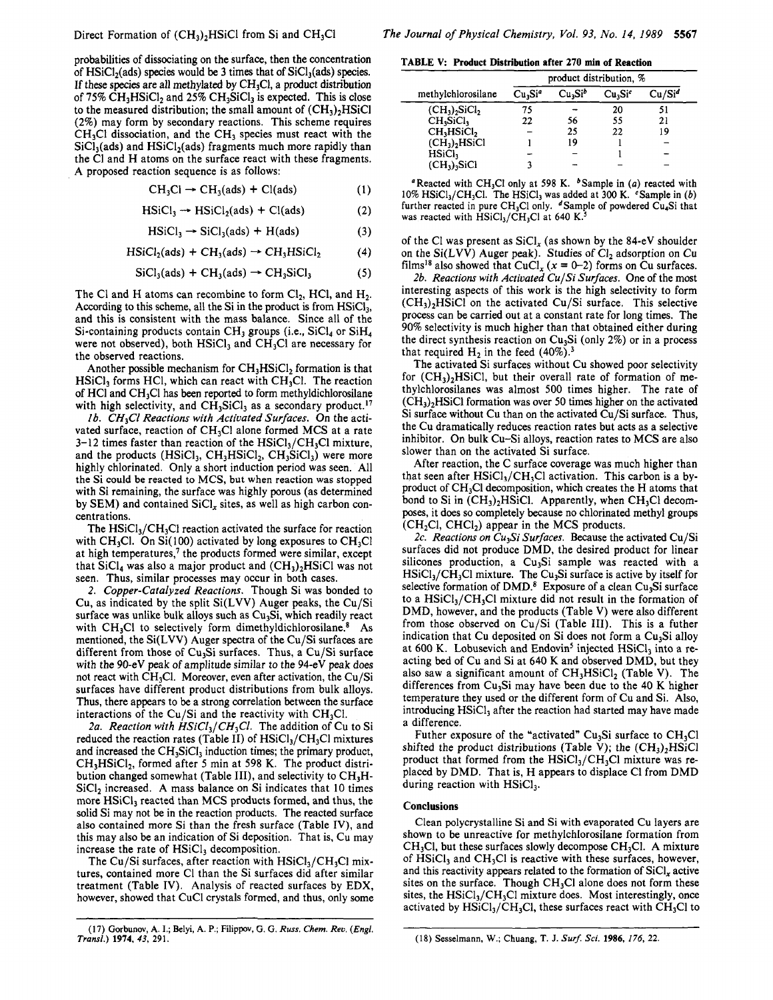probabilities of dissociating on the surface, then the concentration of  $HSiCl<sub>2</sub>(ads)$  species would be 3 times that of  $SiCl<sub>3</sub>(ads)$  species. If these species are all methylated by  $CH<sub>3</sub>Cl$ , a product distribution of 75% CH<sub>3</sub>HSiCl<sub>2</sub> and 25% CH<sub>3</sub>SiCl<sub>3</sub> is expected. This is close to the measured distribution; the small amount of  $(CH_3)$ <sub>2</sub>HSiCl (2%) may form by secondary reactions. This scheme requires  $CH<sub>3</sub>Cl$  dissociation, and the  $CH<sub>3</sub>$  species must react with the  $SiCl<sub>3</sub>(ads)$  and  $HSiCl<sub>2</sub>(ads)$  fragments much more rapidly than the Cl and H atoms on the surface react with these fragments. A proposed reaction sequence is as follows:

$$
CH3Cl \rightarrow CH3(ads) + Cl(ads)
$$
 (1)

$$
HSiCl3 \rightarrow HSiCl2(ads) + Cl(ads)
$$
 (2)

$$
HSiCl3 \rightarrow SiCl3(ads) + H(ads)
$$
 (3)

$$
HSiCl2(ads) + CH3(ads) \rightarrow CH3HSiCl2
$$
 (4)

$$
SiCl3(ads) + CH3(ads) \rightarrow CH3SiCl3
$$
 (5)

The Cl and H atoms can recombine to form  $Cl_2$ , HCl, and H<sub>2</sub>. According to this scheme, all the Si in the product is from  $HSiCl_3$ , and this is consistent with the mass balance. Since all of the Si-containing products contain CH<sub>3</sub> groups (i.e., SiCl<sub>4</sub> or SiH<sub>4</sub> were not observed), both  $HSiCl<sub>3</sub>$  and  $CH<sub>3</sub>Cl$  are necessary for the observed reactions.

Another possible mechanism for  $CH<sub>3</sub>HSiCl<sub>2</sub>$  formation is that  $HSiCl<sub>3</sub>$  forms HCl, which can react with CH<sub>3</sub>Cl. The reaction of HCl and CH<sub>3</sub>Cl has been reported to form methyldichlorosilane with high selectivity, and  $CH_3SiCl_3$  as a secondary product.<sup>17</sup>

1b. CH<sub>3</sub>Cl Reactions with Activated Surfaces. On the activated surface, reaction of CH<sub>3</sub>Cl alone formed MCS at a rate 3-12 times faster than reaction of the  $HSiCl<sub>3</sub>/CH<sub>3</sub>Cl$  mixture, and the products  $(HSiCl<sub>3</sub>, CH<sub>3</sub>HSiCl<sub>2</sub>, CH<sub>3</sub>SiCl<sub>3</sub>)$  were more highly chlorinated. Only <sup>a</sup> short induction period was seen. All the Si could be reacted to MCS, but when reaction was stopped with Si remaining, the surface was highly porous (as determined by SEM) and contained SiCl, sites, as well as high carbon concentrations.

The  $HSiCl<sub>3</sub>/CH<sub>3</sub>Cl$  reaction activated the surface for reaction with CH<sub>3</sub>Cl. On Si(100) activated by long exposures to CH<sub>3</sub>Cl at high temperatures,<sup>7</sup> the products formed were similar, except that  $SiCl<sub>4</sub>$  was also a major product and  $(CH<sub>3</sub>)<sub>2</sub>HSiCl$  was not seen. Thus, similar processes may occur in both cases.

2. Copper-Catalyzed Reactions. Though Si was bonded to Cu, as indicated by the split Si(LVV) Auger peaks, the Cu/Si surface was unlike bulk alloys such as  $Cu<sub>3</sub>Si$ , which readily react with  $CH<sub>3</sub>Cl$  to selectively form dimethyldichlorosilane.<sup>8</sup> As mentioned, the Si(LVV) Auger spectra of the Cu/Si surfaces are different from those of  $Cu<sub>3</sub>Si$  surfaces. Thus, a Cu/Si surface with the 90-eV peak of amplitude similar to the 94-eV peak does not react with CH3C1. Moreover, even after activation, the Cu/Si surfaces have different product distributions from bulk alloys. Thus, there appears to be <sup>a</sup> strong correlation between the surface interactions of the Cu/Si and the reactivity with  $CH<sub>3</sub>Cl$ .

2a. Reaction with  $HSiCl_3/CH_3Cl$ . The addition of Cu to Si reduced the reaction rates (Table II) of  $HSiCl<sub>3</sub>/CH<sub>3</sub>Cl$  mixtures and increased the  $CH<sub>3</sub>SiCl<sub>3</sub>$  induction times; the primary product, CH<sub>3</sub>HSiCl<sub>2</sub>, formed after 5 min at 598 K. The product distribution changed somewhat (Table III), and selectivity to  $CH<sub>3</sub>H \text{SiCl}_2$  increased. A mass balance on Si indicates that 10 times more HSiCl<sub>3</sub> reacted than MCS products formed, and thus, the solid Si may not be in the reaction products. The reacted surface also contained more Si than the fresh surface (Table IV), and this may also be an indication of Si deposition. That is, Cu may increase the rate of  $HSiCl<sub>3</sub>$  decomposition.

The Cu/Si surfaces, after reaction with  $HSiCl_3/CH_3Cl$  mixtures, contained more Cl than the Si surfaces did after similar treatment (Table IV). Analysis of reacted surfaces by EDX, however, showed that CuCl crystals formed, and thus, only some

(17) Gorbunov, A. I.; Belyi, A. P.; Filippov, G. G. Russ. Chem. Rev. (Engl. Transí.) 1974, 43, 291.

TABLE V: Product Distribution after 270 min of Reaction

|                                    | product distribution, %         |                                 |                                 |                    |  |  |
|------------------------------------|---------------------------------|---------------------------------|---------------------------------|--------------------|--|--|
| methylchlorosilane                 | Cu <sub>3</sub> Si <sup>a</sup> | Cu <sub>3</sub> Si <sup>b</sup> | Cu <sub>3</sub> Si <sup>c</sup> | Cu/Si <sup>d</sup> |  |  |
| $(CH_3)_2$ SiCl <sub>2</sub>       | 75                              |                                 | 20                              | 51                 |  |  |
| CH <sub>3</sub> SiCl <sub>2</sub>  | 22                              | 56                              | 55                              | 21                 |  |  |
| CH <sub>3</sub> HSiCl <sub>2</sub> |                                 | 25                              | 22                              | 19                 |  |  |
| $(CH_3)_2HS_1Cl$                   |                                 | 19                              |                                 |                    |  |  |
| HSiCl <sub>3</sub>                 |                                 |                                 |                                 |                    |  |  |
| $(CH3)3S1Cl$                       |                                 |                                 |                                 |                    |  |  |

eacted with CH<sub>3</sub>Cl only at 598 K.  $\frac{b}{2}$  Sample in (a) reacted 10%  $HSiCl<sub>3</sub>/CH<sub>3</sub>Cl$ . The HSiCl<sub>3</sub> was added at 300 K. <sup>e</sup>Sample in (b) further reacted in pure  $CH_3Cl$  only. "Sample of powdered Cu<sub>4</sub>Si that was reacted with  $\text{HSiCl}_3/\text{CH}_3\text{Cl}$  at 640 K.<sup>3</sup>

of the Cl was present as  $SiCl<sub>x</sub>$  (as shown by the 84-eV shoulder on the  $Si(LVV)$  Auger peak). Studies of  $Cl<sub>2</sub>$  adsorption on Cu films<sup>18</sup> also showed that CuCl<sub>x</sub> ( $x = 0$ –2) forms on Cu surfaces.

2b. Reactions with Activated Cu/Si Surfaces. One of the most interesting aspects of this work is the high selectivity to form  $(CH<sub>3</sub>)$ <sub>2</sub>HSiCl on the activated Cu/Si surface. This selective process can be carried out at <sup>a</sup> constant rate for long times. The 90% selectivity is much higher than that obtained either during the direct synthesis reaction on  $Cu<sub>3</sub>Si$  (only 2%) or in a process that required  $H_2$  in the feed (40%).<sup>3</sup>

The activated Si surfaces without Cu showed poor selectivity for  $(CH_3)$ <sub>2</sub>HSiCl, but their overall rate of formation of methylchlorosilanes was almost 500 times higher. The rate of  $(CH<sub>3</sub>)<sub>2</sub>$ HSiCl formation was over 50 times higher on the activated Si surface without Cu than on the activated Cu/Si surface. Thus, the Cu dramatically reduces reaction rates but acts as <sup>a</sup> selective inhibitor. On bulk Cu-Si alloys, reaction rates to MCS are also slower than on the activated Si surface.

After reaction, the C surface coverage was much higher than that seen after  $HSiCl_3/CH_3Cl$  activation. This carbon is a byproduct of CH<sub>3</sub>Cl decomposition, which creates the H atoms that bond to Si in  $(CH_3)_2$ HSiCl. Apparently, when CH<sub>3</sub>Cl decomposes, it does so completely because no chlorinated methyl groups  $(CH_2Cl, CHCl_2)$  appear in the MCS products.

2c. Reactions on  $\tilde{C}u_3Si$  Surfaces. Because the activated Cu/Si surfaces did not produce DMD, the desired product for linear silicones production, a  $Cu<sub>3</sub>Si$  sample was reacted with a  $HSiCl<sub>3</sub>/CH<sub>3</sub>Cl$  mixture. The Cu<sub>3</sub>Si surface is active by itself for selective formation of DMD.<sup>8</sup> Exposure of a clean Cu<sub>3</sub>Si surface to a  $HSiCl<sub>3</sub>/CH<sub>3</sub>Cl$  mixture did not result in the formation of DMD, however, and the products (Table V) were also different from those observed on Cu/Si (Table III). This is <sup>a</sup> futher indication that Cu deposited on Si does not form a  $Cu<sub>3</sub>Si$  alloy at 600 K. Lobusevich and Endovin<sup>5</sup> injected  $HSiCl<sub>3</sub>$  into a reacting bed of Cu and Si at 640 K and observed DMD, but they also saw a significant amount of  $CH<sub>3</sub>HSiCl<sub>2</sub>$  (Table V). The differences from  $Cu<sub>3</sub>Si$  may have been due to the 40 K higher temperature they used or the different form of Cu and Si. Also, introducing HSiCl<sub>3</sub> after the reaction had started may have made a difference.

Futher exposure of the "activated"  $Cu<sub>3</sub>Si$  surface to  $CH<sub>3</sub>Cl$ shifted the product distributions (Table V); the  $(CH_3)_2HSiCl$ product that formed from the  $HSiCl<sub>3</sub>/CH<sub>3</sub>Cl$  mixture was replaced by DMD. That is, H appears to displace Cl from DMD during reaction with HSiCl<sub>3</sub>.

#### **Conclusions**

Clean polycrystalline Si and Si with evaporated Cu layers are shown to be unreactive for methylchlorosilane formation from  $CH<sub>3</sub>Cl$ , but these surfaces slowly decompose  $CH<sub>3</sub>Cl$ . A mixture of  $HSiCl<sub>3</sub>$  and  $CH<sub>3</sub>Cl$  is reactive with these surfaces, however, and this reactivity appears related to the formation of  $SiCl<sub>x</sub>$  active sites on the surface. Though  $CH<sub>3</sub>Cl$  alone does not form these sites, the  $HSiCl_3/CH_3Cl$  mixture does. Most interestingly, once activated by  $HSiCl_3/CH_3Cl$ , these surfaces react with  $CH_3Cl$  to

<sup>(18)</sup> Sesselmann, W.; Chuang, T. J. Surf. Sci. 1986, 176, 22.